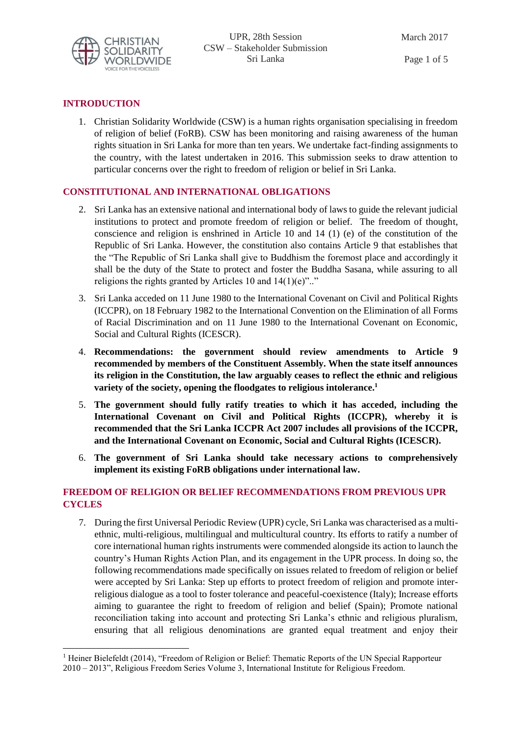

## **INTRODUCTION**

1

1. Christian Solidarity Worldwide (CSW) is a human rights organisation specialising in freedom of religion of belief (FoRB). CSW has been monitoring and raising awareness of the human rights situation in Sri Lanka for more than ten years. We undertake fact-finding assignments to the country, with the latest undertaken in 2016. This submission seeks to draw attention to particular concerns over the right to freedom of religion or belief in Sri Lanka.

## **CONSTITUTIONAL AND INTERNATIONAL OBLIGATIONS**

- 2. Sri Lanka has an extensive national and international body of laws to guide the relevant judicial institutions to protect and promote freedom of religion or belief. The freedom of thought, conscience and religion is enshrined in Article 10 and 14 (1) (e) of the constitution of the Republic of Sri Lanka. However, the constitution also contains Article 9 that establishes that the "The Republic of Sri Lanka shall give to Buddhism the foremost place and accordingly it shall be the duty of the State to protect and foster the Buddha Sasana, while assuring to all religions the rights granted by Articles 10 and  $14(1)(e)$ ".."
- 3. Sri Lanka acceded on 11 June 1980 to the International Covenant on Civil and Political Rights (ICCPR), on 18 February 1982 to the International Convention on the Elimination of all Forms of Racial Discrimination and on 11 June 1980 to the International Covenant on Economic, Social and Cultural Rights (ICESCR).
- 4. **Recommendations: the government should review amendments to Article 9 recommended by members of the Constituent Assembly. When the state itself announces its religion in the Constitution, the law arguably ceases to reflect the ethnic and religious variety of the society, opening the floodgates to religious intolerance.<sup>1</sup>**
- 5. **The government should fully ratify treaties to which it has acceded, including the International Covenant on Civil and Political Rights (ICCPR), whereby it is recommended that the Sri Lanka ICCPR Act 2007 includes all provisions of the ICCPR, and the International Covenant on Economic, Social and Cultural Rights (ICESCR).**
- 6. **The government of Sri Lanka should take necessary actions to comprehensively implement its existing FoRB obligations under international law.**

# **FREEDOM OF RELIGION OR BELIEF RECOMMENDATIONS FROM PREVIOUS UPR CYCLES**

7. During the first Universal Periodic Review (UPR) cycle, Sri Lanka was characterised as a multiethnic, multi-religious, multilingual and multicultural country. Its efforts to ratify a number of core international human rights instruments were commended alongside its action to launch the country's Human Rights Action Plan, and its engagement in the UPR process. In doing so, the following recommendations made specifically on issues related to freedom of religion or belief were accepted by Sri Lanka: Step up efforts to protect freedom of religion and promote interreligious dialogue as a tool to foster tolerance and peaceful-coexistence (Italy); Increase efforts aiming to guarantee the right to freedom of religion and belief (Spain); Promote national reconciliation taking into account and protecting Sri Lanka's ethnic and religious pluralism, ensuring that all religious denominations are granted equal treatment and enjoy their

<sup>&</sup>lt;sup>1</sup> Heiner Bielefeldt (2014), "Freedom of Religion or Belief: Thematic Reports of the UN Special Rapporteur 2010 – 2013", Religious Freedom Series Volume 3, International Institute for Religious Freedom.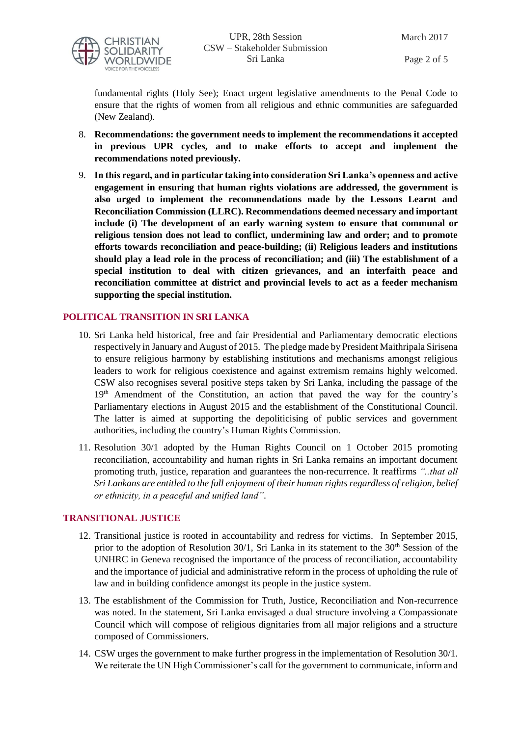

Page 2 of 5

fundamental rights (Holy See); Enact urgent legislative amendments to the Penal Code to ensure that the rights of women from all religious and ethnic communities are safeguarded (New Zealand).

- 8. **Recommendations: the government needs to implement the recommendations it accepted in previous UPR cycles, and to make efforts to accept and implement the recommendations noted previously.**
- 9. **In this regard, and in particular taking into consideration Sri Lanka's openness and active engagement in ensuring that human rights violations are addressed, the government is also urged to implement the recommendations made by the Lessons Learnt and Reconciliation Commission (LLRC). Recommendations deemed necessary and important include (i) The development of an early warning system to ensure that communal or religious tension does not lead to conflict, undermining law and order; and to promote efforts towards reconciliation and peace-building; (ii) Religious leaders and institutions should play a lead role in the process of reconciliation; and (iii) The establishment of a special institution to deal with citizen grievances, and an interfaith peace and reconciliation committee at district and provincial levels to act as a feeder mechanism supporting the special institution.**

#### **POLITICAL TRANSITION IN SRI LANKA**

- 10. Sri Lanka held historical, free and fair Presidential and Parliamentary democratic elections respectively in January and August of 2015. The pledge made by President Maithripala Sirisena to ensure religious harmony by establishing institutions and mechanisms amongst religious leaders to work for religious coexistence and against extremism remains highly welcomed. CSW also recognises several positive steps taken by Sri Lanka, including the passage of the 19<sup>th</sup> Amendment of the Constitution, an action that paved the way for the country's Parliamentary elections in August 2015 and the establishment of the Constitutional Council. The latter is aimed at supporting the depoliticising of public services and government authorities, including the country's Human Rights Commission.
- 11. Resolution 30/1 adopted by the Human Rights Council on 1 October 2015 promoting reconciliation, accountability and human rights in Sri Lanka remains an important document promoting truth, justice, reparation and guarantees the non-recurrence. It reaffirms *"..that all Sri Lankans are entitled to the full enjoyment of their human rights regardless of religion, belief or ethnicity, in a peaceful and unified land"*.

#### **TRANSITIONAL JUSTICE**

- 12. Transitional justice is rooted in accountability and redress for victims. In September 2015, prior to the adoption of Resolution 30/1, Sri Lanka in its statement to the 30<sup>th</sup> Session of the UNHRC in Geneva recognised the importance of the process of reconciliation, accountability and the importance of judicial and administrative reform in the process of upholding the rule of law and in building confidence amongst its people in the justice system.
- 13. The establishment of the Commission for Truth, Justice, Reconciliation and Non-recurrence was noted. In the statement, Sri Lanka envisaged a dual structure involving a Compassionate Council which will compose of religious dignitaries from all major religions and a structure composed of Commissioners.
- 14. CSW urges the government to make further progress in the implementation of Resolution 30/1. We reiterate the UN High Commissioner's call for the government to communicate, inform and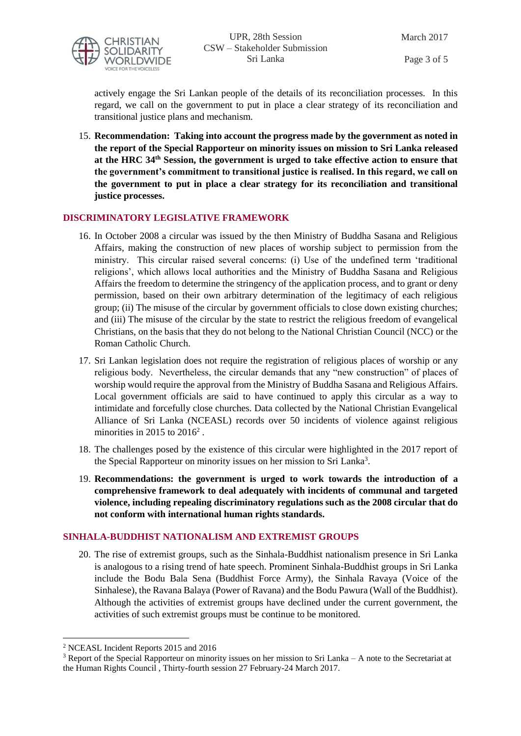

Page 3 of 5

actively engage the Sri Lankan people of the details of its reconciliation processes. In this regard, we call on the government to put in place a clear strategy of its reconciliation and transitional justice plans and mechanism.

15. **Recommendation: Taking into account the progress made by the government as noted in the report of the Special Rapporteur on minority issues on mission to Sri Lanka released at the HRC 34th Session, the government is urged to take effective action to ensure that the government's commitment to transitional justice is realised. In this regard, we call on the government to put in place a clear strategy for its reconciliation and transitional justice processes.** 

### **DISCRIMINATORY LEGISLATIVE FRAMEWORK**

- 16. In October 2008 a circular was issued by the then Ministry of Buddha Sasana and Religious Affairs, making the construction of new places of worship subject to permission from the ministry. This circular raised several concerns: (i) Use of the undefined term 'traditional religions', which allows local authorities and the Ministry of Buddha Sasana and Religious Affairs the freedom to determine the stringency of the application process, and to grant or deny permission, based on their own arbitrary determination of the legitimacy of each religious group; (ii) The misuse of the circular by government officials to close down existing churches; and (iii) The misuse of the circular by the state to restrict the religious freedom of evangelical Christians, on the basis that they do not belong to the National Christian Council (NCC) or the Roman Catholic Church.
- 17. Sri Lankan legislation does not require the registration of religious places of worship or any religious body. Nevertheless, the circular demands that any "new construction" of places of worship would require the approval from the Ministry of Buddha Sasana and Religious Affairs. Local government officials are said to have continued to apply this circular as a way to intimidate and forcefully close churches. Data collected by the National Christian Evangelical Alliance of Sri Lanka (NCEASL) records over 50 incidents of violence against religious minorities in 2015 to  $2016^2$ .
- 18. The challenges posed by the existence of this circular were highlighted in the 2017 report of the Special Rapporteur on minority issues on her mission to Sri Lanka<sup>3</sup>.
- 19. **Recommendations: the government is urged to work towards the introduction of a comprehensive framework to deal adequately with incidents of communal and targeted violence, including repealing discriminatory regulations such as the 2008 circular that do not conform with international human rights standards.**

### **SINHALA-BUDDHIST NATIONALISM AND EXTREMIST GROUPS**

20. The rise of extremist groups, such as the Sinhala-Buddhist nationalism presence in Sri Lanka is analogous to a rising trend of hate speech. Prominent Sinhala-Buddhist groups in Sri Lanka include the Bodu Bala Sena (Buddhist Force Army), the Sinhala Ravaya (Voice of the Sinhalese), the Ravana Balaya (Power of Ravana) and the Bodu Pawura (Wall of the Buddhist). Although the activities of extremist groups have declined under the current government, the activities of such extremist groups must be continue to be monitored.

 $\overline{a}$ <sup>2</sup> NCEASL Incident Reports 2015 and 2016

<sup>3</sup> Report of the Special Rapporteur on minority issues on her mission to Sri Lanka – A note to the Secretariat at the Human Rights Council , Thirty-fourth session 27 February-24 March 2017.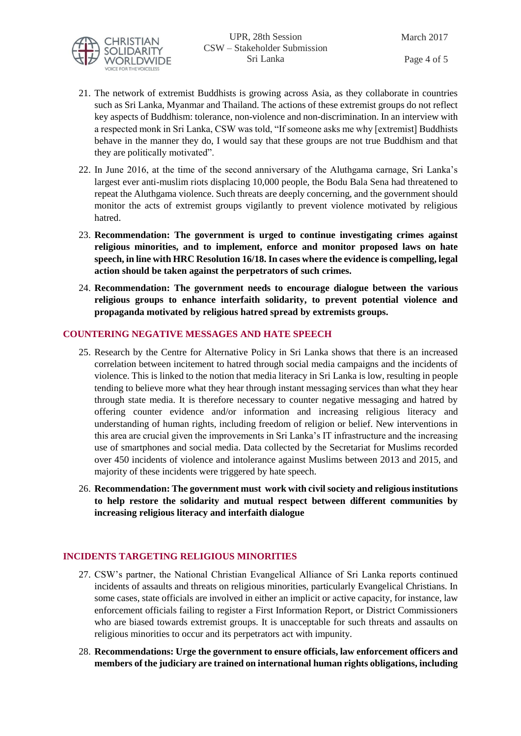

- 21. The network of extremist Buddhists is growing across Asia, as they collaborate in countries such as Sri Lanka, Myanmar and Thailand. The actions of these extremist groups do not reflect key aspects of Buddhism: tolerance, non-violence and non-discrimination. In an interview with a respected monk in Sri Lanka, CSW was told, "If someone asks me why [extremist] Buddhists behave in the manner they do, I would say that these groups are not true Buddhism and that they are politically motivated".
- 22. In June 2016, at the time of the second anniversary of the Aluthgama carnage, Sri Lanka's largest ever anti-muslim riots displacing 10,000 people, the Bodu Bala Sena had threatened to repeat the Aluthgama violence. Such threats are deeply concerning, and the government should monitor the acts of extremist groups vigilantly to prevent violence motivated by religious hatred.
- 23. **Recommendation: The government is urged to continue investigating crimes against religious minorities, and to implement, enforce and monitor proposed laws on hate speech, in line with HRC Resolution 16/18. In cases where the evidence is compelling, legal action should be taken against the perpetrators of such crimes.**
- 24. **Recommendation: The government needs to encourage dialogue between the various religious groups to enhance interfaith solidarity, to prevent potential violence and propaganda motivated by religious hatred spread by extremists groups.**

### **COUNTERING NEGATIVE MESSAGES AND HATE SPEECH**

- 25. Research by the Centre for Alternative Policy in Sri Lanka shows that there is an increased correlation between incitement to hatred through social media campaigns and the incidents of violence. This is linked to the notion that media literacy in Sri Lanka is low, resulting in people tending to believe more what they hear through instant messaging services than what they hear through state media. It is therefore necessary to counter negative messaging and hatred by offering counter evidence and/or information and increasing religious literacy and understanding of human rights, including freedom of religion or belief. New interventions in this area are crucial given the improvements in Sri Lanka's IT infrastructure and the increasing use of smartphones and social media. Data collected by the Secretariat for Muslims recorded over 450 incidents of violence and intolerance against Muslims between 2013 and 2015, and majority of these incidents were triggered by hate speech.
- 26. **Recommendation: The government must work with civil society and religious institutions to help restore the solidarity and mutual respect between different communities by increasing religious literacy and interfaith dialogue**

### **INCIDENTS TARGETING RELIGIOUS MINORITIES**

- 27. CSW's partner, the National Christian Evangelical Alliance of Sri Lanka reports continued incidents of assaults and threats on religious minorities, particularly Evangelical Christians. In some cases, state officials are involved in either an implicit or active capacity, for instance, law enforcement officials failing to register a First Information Report, or District Commissioners who are biased towards extremist groups. It is unacceptable for such threats and assaults on religious minorities to occur and its perpetrators act with impunity.
- 28. **Recommendations: Urge the government to ensure officials, law enforcement officers and members of the judiciary are trained on international human rights obligations, including**